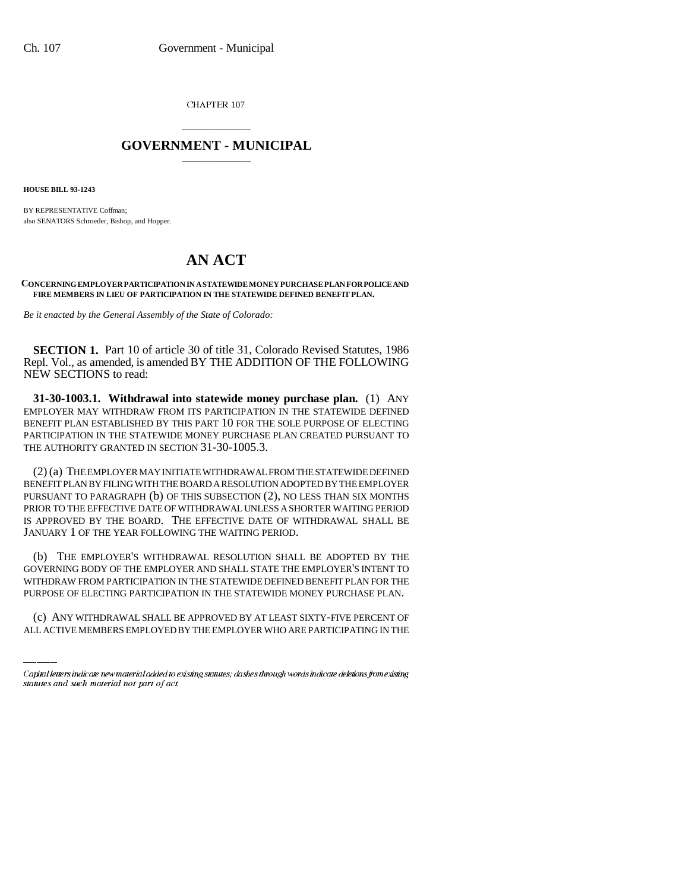CHAPTER 107

## \_\_\_\_\_\_\_\_\_\_\_\_\_\_\_ **GOVERNMENT - MUNICIPAL** \_\_\_\_\_\_\_\_\_\_\_\_\_\_\_

**HOUSE BILL 93-1243**

BY REPRESENTATIVE Coffman; also SENATORS Schroeder, Bishop, and Hopper.

## **AN ACT**

## **CONCERNING EMPLOYER PARTICIPATION IN A STATEWIDE MONEY PURCHASE PLAN FOR POLICE AND FIRE MEMBERS IN LIEU OF PARTICIPATION IN THE STATEWIDE DEFINED BENEFIT PLAN.**

*Be it enacted by the General Assembly of the State of Colorado:*

**SECTION 1.** Part 10 of article 30 of title 31, Colorado Revised Statutes, 1986 Repl. Vol., as amended, is amended BY THE ADDITION OF THE FOLLOWING NEW SECTIONS to read:

**31-30-1003.1. Withdrawal into statewide money purchase plan.** (1) ANY EMPLOYER MAY WITHDRAW FROM ITS PARTICIPATION IN THE STATEWIDE DEFINED BENEFIT PLAN ESTABLISHED BY THIS PART 10 FOR THE SOLE PURPOSE OF ELECTING PARTICIPATION IN THE STATEWIDE MONEY PURCHASE PLAN CREATED PURSUANT TO THE AUTHORITY GRANTED IN SECTION 31-30-1005.3.

(2) (a) THE EMPLOYER MAY INITIATE WITHDRAWAL FROM THE STATEWIDE DEFINED BENEFIT PLAN BY FILING WITH THE BOARD A RESOLUTION ADOPTED BY THE EMPLOYER PURSUANT TO PARAGRAPH (b) OF THIS SUBSECTION (2), NO LESS THAN SIX MONTHS PRIOR TO THE EFFECTIVE DATE OF WITHDRAWAL UNLESS A SHORTER WAITING PERIOD IS APPROVED BY THE BOARD. THE EFFECTIVE DATE OF WITHDRAWAL SHALL BE JANUARY 1 OF THE YEAR FOLLOWING THE WAITING PERIOD.

WITHDRAW FROM PARTICIPATION IN THE STATEWIDE DEFINED BENEFIT PLAN FOR THE (b) THE EMPLOYER'S WITHDRAWAL RESOLUTION SHALL BE ADOPTED BY THE GOVERNING BODY OF THE EMPLOYER AND SHALL STATE THE EMPLOYER'S INTENT TO PURPOSE OF ELECTING PARTICIPATION IN THE STATEWIDE MONEY PURCHASE PLAN.

(c) ANY WITHDRAWAL SHALL BE APPROVED BY AT LEAST SIXTY-FIVE PERCENT OF ALL ACTIVE MEMBERS EMPLOYED BY THE EMPLOYER WHO ARE PARTICIPATING IN THE

Capital letters indicate new material added to existing statutes; dashes through words indicate deletions from existing statutes and such material not part of act.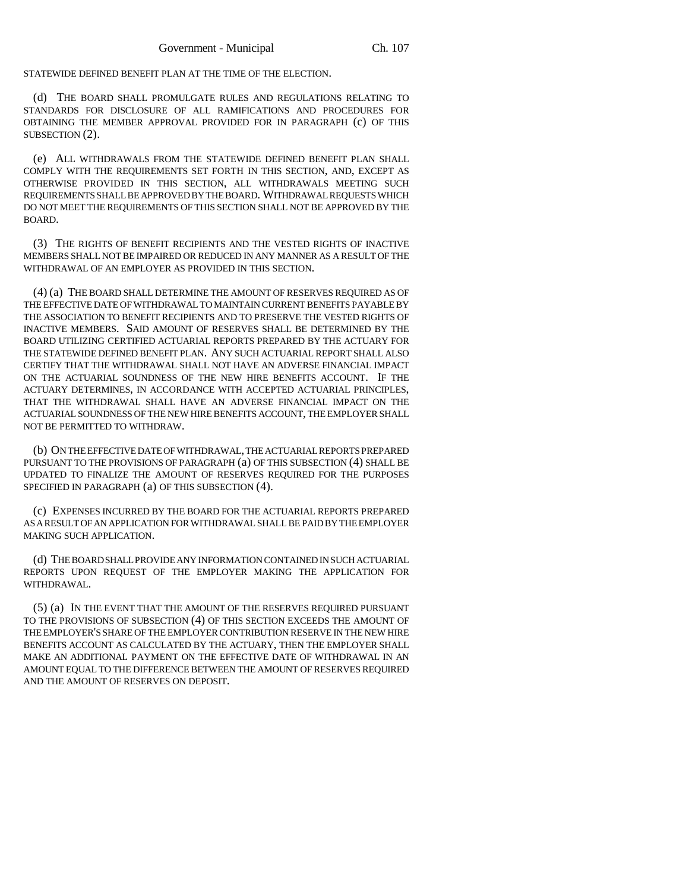STATEWIDE DEFINED BENEFIT PLAN AT THE TIME OF THE ELECTION.

(d) THE BOARD SHALL PROMULGATE RULES AND REGULATIONS RELATING TO STANDARDS FOR DISCLOSURE OF ALL RAMIFICATIONS AND PROCEDURES FOR OBTAINING THE MEMBER APPROVAL PROVIDED FOR IN PARAGRAPH (c) OF THIS SUBSECTION (2).

(e) ALL WITHDRAWALS FROM THE STATEWIDE DEFINED BENEFIT PLAN SHALL COMPLY WITH THE REQUIREMENTS SET FORTH IN THIS SECTION, AND, EXCEPT AS OTHERWISE PROVIDED IN THIS SECTION, ALL WITHDRAWALS MEETING SUCH REQUIREMENTS SHALL BE APPROVED BY THE BOARD. WITHDRAWAL REQUESTS WHICH DO NOT MEET THE REQUIREMENTS OF THIS SECTION SHALL NOT BE APPROVED BY THE BOARD.

(3) THE RIGHTS OF BENEFIT RECIPIENTS AND THE VESTED RIGHTS OF INACTIVE MEMBERS SHALL NOT BE IMPAIRED OR REDUCED IN ANY MANNER AS A RESULT OF THE WITHDRAWAL OF AN EMPLOYER AS PROVIDED IN THIS SECTION.

(4) (a) THE BOARD SHALL DETERMINE THE AMOUNT OF RESERVES REQUIRED AS OF THE EFFECTIVE DATE OF WITHDRAWAL TO MAINTAIN CURRENT BENEFITS PAYABLE BY THE ASSOCIATION TO BENEFIT RECIPIENTS AND TO PRESERVE THE VESTED RIGHTS OF INACTIVE MEMBERS. SAID AMOUNT OF RESERVES SHALL BE DETERMINED BY THE BOARD UTILIZING CERTIFIED ACTUARIAL REPORTS PREPARED BY THE ACTUARY FOR THE STATEWIDE DEFINED BENEFIT PLAN. ANY SUCH ACTUARIAL REPORT SHALL ALSO CERTIFY THAT THE WITHDRAWAL SHALL NOT HAVE AN ADVERSE FINANCIAL IMPACT ON THE ACTUARIAL SOUNDNESS OF THE NEW HIRE BENEFITS ACCOUNT. IF THE ACTUARY DETERMINES, IN ACCORDANCE WITH ACCEPTED ACTUARIAL PRINCIPLES, THAT THE WITHDRAWAL SHALL HAVE AN ADVERSE FINANCIAL IMPACT ON THE ACTUARIAL SOUNDNESS OF THE NEW HIRE BENEFITS ACCOUNT, THE EMPLOYER SHALL NOT BE PERMITTED TO WITHDRAW.

(b) ON THE EFFECTIVE DATE OF WITHDRAWAL, THE ACTUARIAL REPORTS PREPARED PURSUANT TO THE PROVISIONS OF PARAGRAPH (a) OF THIS SUBSECTION (4) SHALL BE UPDATED TO FINALIZE THE AMOUNT OF RESERVES REQUIRED FOR THE PURPOSES SPECIFIED IN PARAGRAPH (a) OF THIS SUBSECTION (4).

(c) EXPENSES INCURRED BY THE BOARD FOR THE ACTUARIAL REPORTS PREPARED AS A RESULT OF AN APPLICATION FOR WITHDRAWAL SHALL BE PAID BY THE EMPLOYER MAKING SUCH APPLICATION.

(d) THE BOARD SHALL PROVIDE ANY INFORMATION CONTAINED IN SUCH ACTUARIAL REPORTS UPON REQUEST OF THE EMPLOYER MAKING THE APPLICATION FOR WITHDRAWAL.

(5) (a) IN THE EVENT THAT THE AMOUNT OF THE RESERVES REQUIRED PURSUANT TO THE PROVISIONS OF SUBSECTION (4) OF THIS SECTION EXCEEDS THE AMOUNT OF THE EMPLOYER'S SHARE OF THE EMPLOYER CONTRIBUTION RESERVE IN THE NEW HIRE BENEFITS ACCOUNT AS CALCULATED BY THE ACTUARY, THEN THE EMPLOYER SHALL MAKE AN ADDITIONAL PAYMENT ON THE EFFECTIVE DATE OF WITHDRAWAL IN AN AMOUNT EQUAL TO THE DIFFERENCE BETWEEN THE AMOUNT OF RESERVES REQUIRED AND THE AMOUNT OF RESERVES ON DEPOSIT.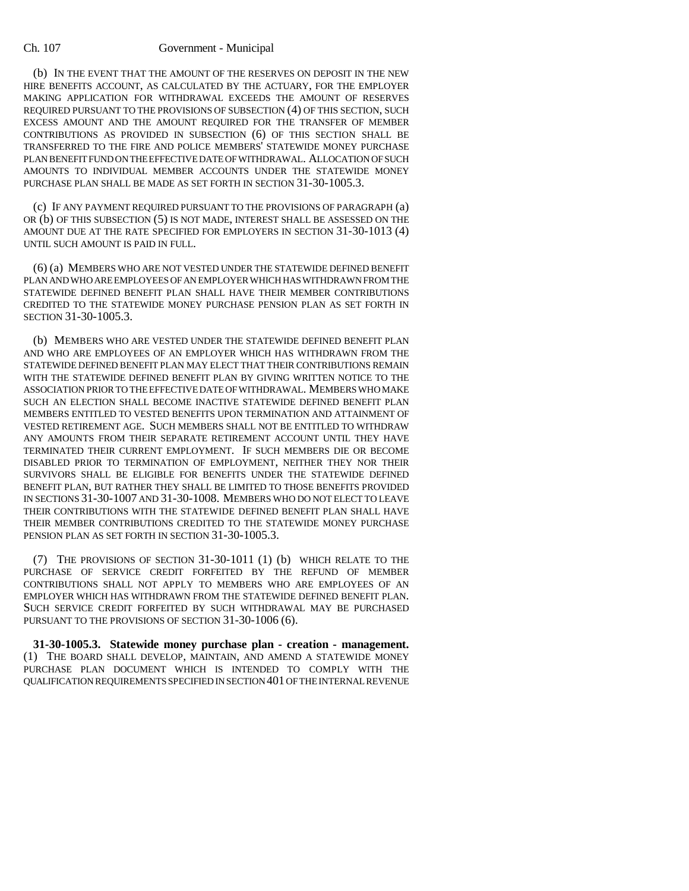## Ch. 107 Government - Municipal

(b) IN THE EVENT THAT THE AMOUNT OF THE RESERVES ON DEPOSIT IN THE NEW HIRE BENEFITS ACCOUNT, AS CALCULATED BY THE ACTUARY, FOR THE EMPLOYER MAKING APPLICATION FOR WITHDRAWAL EXCEEDS THE AMOUNT OF RESERVES REQUIRED PURSUANT TO THE PROVISIONS OF SUBSECTION (4) OF THIS SECTION, SUCH EXCESS AMOUNT AND THE AMOUNT REQUIRED FOR THE TRANSFER OF MEMBER CONTRIBUTIONS AS PROVIDED IN SUBSECTION (6) OF THIS SECTION SHALL BE TRANSFERRED TO THE FIRE AND POLICE MEMBERS' STATEWIDE MONEY PURCHASE PLAN BENEFIT FUND ON THE EFFECTIVE DATE OF WITHDRAWAL. ALLOCATION OF SUCH AMOUNTS TO INDIVIDUAL MEMBER ACCOUNTS UNDER THE STATEWIDE MONEY PURCHASE PLAN SHALL BE MADE AS SET FORTH IN SECTION 31-30-1005.3.

(c) IF ANY PAYMENT REQUIRED PURSUANT TO THE PROVISIONS OF PARAGRAPH (a) OR (b) OF THIS SUBSECTION (5) IS NOT MADE, INTEREST SHALL BE ASSESSED ON THE AMOUNT DUE AT THE RATE SPECIFIED FOR EMPLOYERS IN SECTION 31-30-1013 (4) UNTIL SUCH AMOUNT IS PAID IN FULL.

(6) (a) MEMBERS WHO ARE NOT VESTED UNDER THE STATEWIDE DEFINED BENEFIT PLAN AND WHO ARE EMPLOYEES OF AN EMPLOYER WHICH HAS WITHDRAWN FROM THE STATEWIDE DEFINED BENEFIT PLAN SHALL HAVE THEIR MEMBER CONTRIBUTIONS CREDITED TO THE STATEWIDE MONEY PURCHASE PENSION PLAN AS SET FORTH IN SECTION 31-30-1005.3.

(b) MEMBERS WHO ARE VESTED UNDER THE STATEWIDE DEFINED BENEFIT PLAN AND WHO ARE EMPLOYEES OF AN EMPLOYER WHICH HAS WITHDRAWN FROM THE STATEWIDE DEFINED BENEFIT PLAN MAY ELECT THAT THEIR CONTRIBUTIONS REMAIN WITH THE STATEWIDE DEFINED BENEFIT PLAN BY GIVING WRITTEN NOTICE TO THE ASSOCIATION PRIOR TO THE EFFECTIVE DATE OF WITHDRAWAL. MEMBERS WHO MAKE SUCH AN ELECTION SHALL BECOME INACTIVE STATEWIDE DEFINED BENEFIT PLAN MEMBERS ENTITLED TO VESTED BENEFITS UPON TERMINATION AND ATTAINMENT OF VESTED RETIREMENT AGE. SUCH MEMBERS SHALL NOT BE ENTITLED TO WITHDRAW ANY AMOUNTS FROM THEIR SEPARATE RETIREMENT ACCOUNT UNTIL THEY HAVE TERMINATED THEIR CURRENT EMPLOYMENT. IF SUCH MEMBERS DIE OR BECOME DISABLED PRIOR TO TERMINATION OF EMPLOYMENT, NEITHER THEY NOR THEIR SURVIVORS SHALL BE ELIGIBLE FOR BENEFITS UNDER THE STATEWIDE DEFINED BENEFIT PLAN, BUT RATHER THEY SHALL BE LIMITED TO THOSE BENEFITS PROVIDED IN SECTIONS 31-30-1007 AND 31-30-1008. MEMBERS WHO DO NOT ELECT TO LEAVE THEIR CONTRIBUTIONS WITH THE STATEWIDE DEFINED BENEFIT PLAN SHALL HAVE THEIR MEMBER CONTRIBUTIONS CREDITED TO THE STATEWIDE MONEY PURCHASE PENSION PLAN AS SET FORTH IN SECTION 31-30-1005.3.

(7) THE PROVISIONS OF SECTION 31-30-1011 (1) (b) WHICH RELATE TO THE PURCHASE OF SERVICE CREDIT FORFEITED BY THE REFUND OF MEMBER CONTRIBUTIONS SHALL NOT APPLY TO MEMBERS WHO ARE EMPLOYEES OF AN EMPLOYER WHICH HAS WITHDRAWN FROM THE STATEWIDE DEFINED BENEFIT PLAN. SUCH SERVICE CREDIT FORFEITED BY SUCH WITHDRAWAL MAY BE PURCHASED PURSUANT TO THE PROVISIONS OF SECTION 31-30-1006 (6).

**31-30-1005.3. Statewide money purchase plan - creation - management.** (1) THE BOARD SHALL DEVELOP, MAINTAIN, AND AMEND A STATEWIDE MONEY PURCHASE PLAN DOCUMENT WHICH IS INTENDED TO COMPLY WITH THE QUALIFICATION REQUIREMENTS SPECIFIED IN SECTION 401 OF THE INTERNAL REVENUE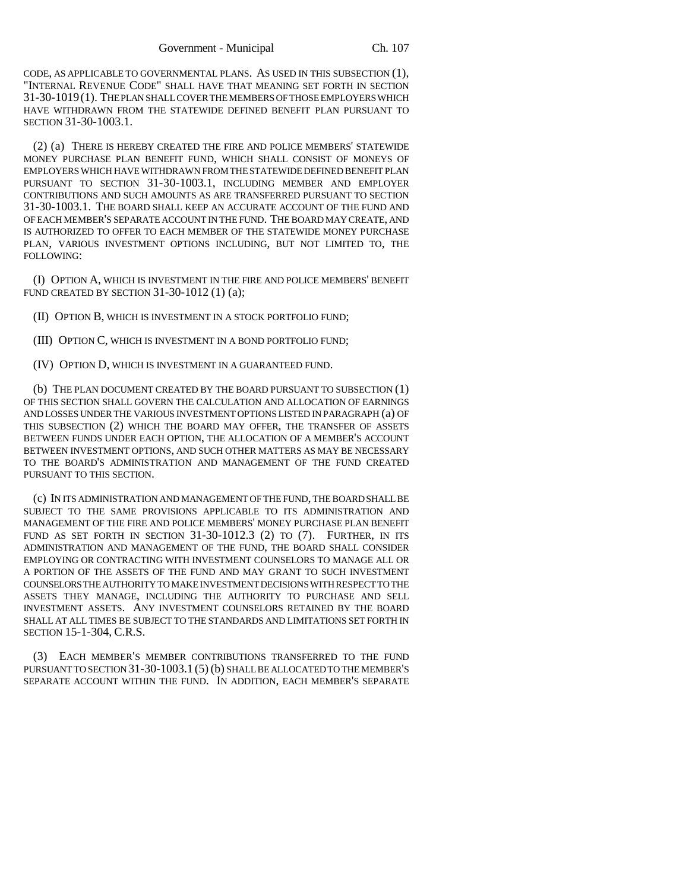CODE, AS APPLICABLE TO GOVERNMENTAL PLANS. AS USED IN THIS SUBSECTION (1), "INTERNAL REVENUE CODE" SHALL HAVE THAT MEANING SET FORTH IN SECTION 31-30-1019(1). THE PLAN SHALL COVER THE MEMBERS OF THOSE EMPLOYERS WHICH HAVE WITHDRAWN FROM THE STATEWIDE DEFINED BENEFIT PLAN PURSUANT TO SECTION 31-30-1003.1.

(2) (a) THERE IS HEREBY CREATED THE FIRE AND POLICE MEMBERS' STATEWIDE MONEY PURCHASE PLAN BENEFIT FUND, WHICH SHALL CONSIST OF MONEYS OF EMPLOYERS WHICH HAVE WITHDRAWN FROM THE STATEWIDE DEFINED BENEFIT PLAN PURSUANT TO SECTION 31-30-1003.1, INCLUDING MEMBER AND EMPLOYER CONTRIBUTIONS AND SUCH AMOUNTS AS ARE TRANSFERRED PURSUANT TO SECTION 31-30-1003.1. THE BOARD SHALL KEEP AN ACCURATE ACCOUNT OF THE FUND AND OF EACH MEMBER'S SEPARATE ACCOUNT IN THE FUND. THE BOARD MAY CREATE, AND IS AUTHORIZED TO OFFER TO EACH MEMBER OF THE STATEWIDE MONEY PURCHASE PLAN, VARIOUS INVESTMENT OPTIONS INCLUDING, BUT NOT LIMITED TO, THE FOLLOWING:

(I) OPTION A, WHICH IS INVESTMENT IN THE FIRE AND POLICE MEMBERS' BENEFIT FUND CREATED BY SECTION 31-30-1012 (1) (a);

(II) OPTION B, WHICH IS INVESTMENT IN A STOCK PORTFOLIO FUND;

(III) OPTION C, WHICH IS INVESTMENT IN A BOND PORTFOLIO FUND;

(IV) OPTION D, WHICH IS INVESTMENT IN A GUARANTEED FUND.

(b) THE PLAN DOCUMENT CREATED BY THE BOARD PURSUANT TO SUBSECTION (1) OF THIS SECTION SHALL GOVERN THE CALCULATION AND ALLOCATION OF EARNINGS AND LOSSES UNDER THE VARIOUS INVESTMENT OPTIONS LISTED IN PARAGRAPH (a) OF THIS SUBSECTION (2) WHICH THE BOARD MAY OFFER, THE TRANSFER OF ASSETS BETWEEN FUNDS UNDER EACH OPTION, THE ALLOCATION OF A MEMBER'S ACCOUNT BETWEEN INVESTMENT OPTIONS, AND SUCH OTHER MATTERS AS MAY BE NECESSARY TO THE BOARD'S ADMINISTRATION AND MANAGEMENT OF THE FUND CREATED PURSUANT TO THIS SECTION.

(c) IN ITS ADMINISTRATION AND MANAGEMENT OF THE FUND, THE BOARD SHALL BE SUBJECT TO THE SAME PROVISIONS APPLICABLE TO ITS ADMINISTRATION AND MANAGEMENT OF THE FIRE AND POLICE MEMBERS' MONEY PURCHASE PLAN BENEFIT FUND AS SET FORTH IN SECTION 31-30-1012.3 (2) TO (7). FURTHER, IN ITS ADMINISTRATION AND MANAGEMENT OF THE FUND, THE BOARD SHALL CONSIDER EMPLOYING OR CONTRACTING WITH INVESTMENT COUNSELORS TO MANAGE ALL OR A PORTION OF THE ASSETS OF THE FUND AND MAY GRANT TO SUCH INVESTMENT COUNSELORS THE AUTHORITY TO MAKE INVESTMENT DECISIONS WITH RESPECT TO THE ASSETS THEY MANAGE, INCLUDING THE AUTHORITY TO PURCHASE AND SELL INVESTMENT ASSETS. ANY INVESTMENT COUNSELORS RETAINED BY THE BOARD SHALL AT ALL TIMES BE SUBJECT TO THE STANDARDS AND LIMITATIONS SET FORTH IN SECTION 15-1-304, C.R.S.

(3) EACH MEMBER'S MEMBER CONTRIBUTIONS TRANSFERRED TO THE FUND PURSUANT TO SECTION 31-30-1003.1 (5) (b) SHALL BE ALLOCATED TO THE MEMBER'S SEPARATE ACCOUNT WITHIN THE FUND. IN ADDITION, EACH MEMBER'S SEPARATE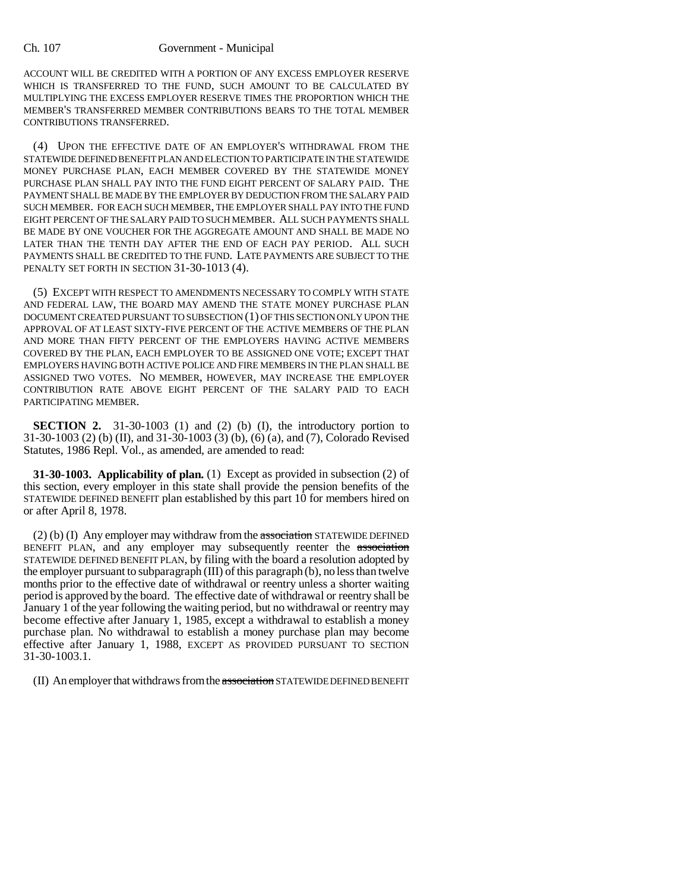ACCOUNT WILL BE CREDITED WITH A PORTION OF ANY EXCESS EMPLOYER RESERVE WHICH IS TRANSFERRED TO THE FUND, SUCH AMOUNT TO BE CALCULATED BY MULTIPLYING THE EXCESS EMPLOYER RESERVE TIMES THE PROPORTION WHICH THE MEMBER'S TRANSFERRED MEMBER CONTRIBUTIONS BEARS TO THE TOTAL MEMBER CONTRIBUTIONS TRANSFERRED.

(4) UPON THE EFFECTIVE DATE OF AN EMPLOYER'S WITHDRAWAL FROM THE STATEWIDE DEFINED BENEFIT PLAN AND ELECTION TO PARTICIPATE IN THE STATEWIDE MONEY PURCHASE PLAN, EACH MEMBER COVERED BY THE STATEWIDE MONEY PURCHASE PLAN SHALL PAY INTO THE FUND EIGHT PERCENT OF SALARY PAID. THE PAYMENT SHALL BE MADE BY THE EMPLOYER BY DEDUCTION FROM THE SALARY PAID SUCH MEMBER. FOR EACH SUCH MEMBER, THE EMPLOYER SHALL PAY INTO THE FUND EIGHT PERCENT OF THE SALARY PAID TO SUCH MEMBER. ALL SUCH PAYMENTS SHALL BE MADE BY ONE VOUCHER FOR THE AGGREGATE AMOUNT AND SHALL BE MADE NO LATER THAN THE TENTH DAY AFTER THE END OF EACH PAY PERIOD. ALL SUCH PAYMENTS SHALL BE CREDITED TO THE FUND. LATE PAYMENTS ARE SUBJECT TO THE PENALTY SET FORTH IN SECTION 31-30-1013 (4).

(5) EXCEPT WITH RESPECT TO AMENDMENTS NECESSARY TO COMPLY WITH STATE AND FEDERAL LAW, THE BOARD MAY AMEND THE STATE MONEY PURCHASE PLAN DOCUMENT CREATED PURSUANT TO SUBSECTION (1) OF THIS SECTION ONLY UPON THE APPROVAL OF AT LEAST SIXTY-FIVE PERCENT OF THE ACTIVE MEMBERS OF THE PLAN AND MORE THAN FIFTY PERCENT OF THE EMPLOYERS HAVING ACTIVE MEMBERS COVERED BY THE PLAN, EACH EMPLOYER TO BE ASSIGNED ONE VOTE; EXCEPT THAT EMPLOYERS HAVING BOTH ACTIVE POLICE AND FIRE MEMBERS IN THE PLAN SHALL BE ASSIGNED TWO VOTES. NO MEMBER, HOWEVER, MAY INCREASE THE EMPLOYER CONTRIBUTION RATE ABOVE EIGHT PERCENT OF THE SALARY PAID TO EACH PARTICIPATING MEMBER.

**SECTION 2.** 31-30-1003 (1) and (2) (b) (I), the introductory portion to 31-30-1003 (2) (b) (II), and 31-30-1003 (3) (b), (6) (a), and (7), Colorado Revised Statutes, 1986 Repl. Vol., as amended, are amended to read:

**31-30-1003. Applicability of plan.** (1) Except as provided in subsection (2) of this section, every employer in this state shall provide the pension benefits of the STATEWIDE DEFINED BENEFIT plan established by this part 10 for members hired on or after April 8, 1978.

 $(2)$  (b) (I) Any employer may withdraw from the association STATEWIDE DEFINED BENEFIT PLAN, and any employer may subsequently reenter the association STATEWIDE DEFINED BENEFIT PLAN, by filing with the board a resolution adopted by the employer pursuant to subparagraph (III) of this paragraph (b), no less than twelve months prior to the effective date of withdrawal or reentry unless a shorter waiting period is approved by the board. The effective date of withdrawal or reentry shall be January 1 of the year following the waiting period, but no withdrawal or reentry may become effective after January 1, 1985, except a withdrawal to establish a money purchase plan. No withdrawal to establish a money purchase plan may become effective after January 1, 1988, EXCEPT AS PROVIDED PURSUANT TO SECTION 31-30-1003.1.

(II) An employer that withdraws from the association STATEWIDE DEFINED BENEFIT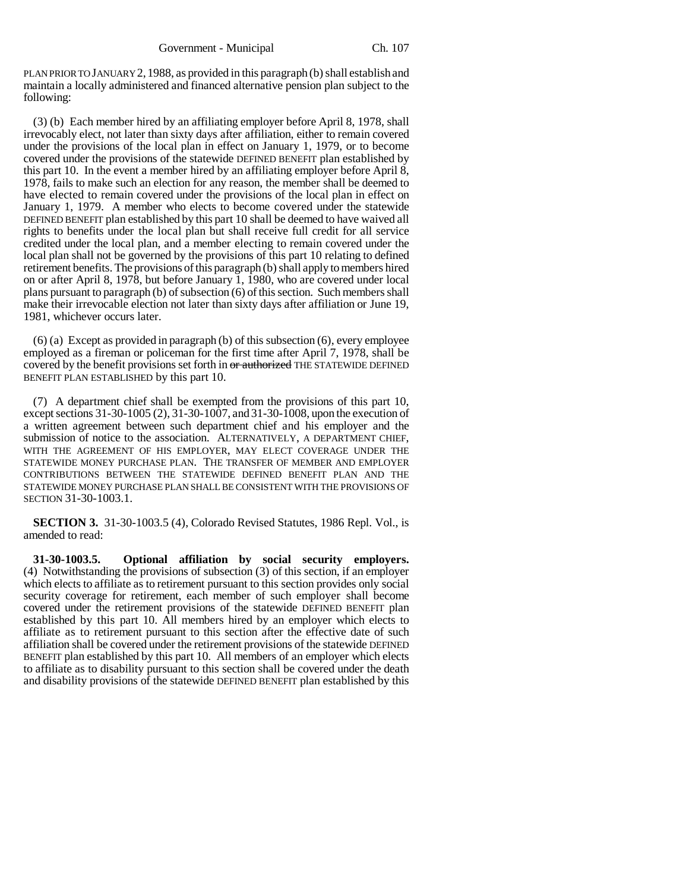PLAN PRIOR TO JANUARY 2,1988, as provided in this paragraph (b) shall establish and maintain a locally administered and financed alternative pension plan subject to the following:

(3) (b) Each member hired by an affiliating employer before April 8, 1978, shall irrevocably elect, not later than sixty days after affiliation, either to remain covered under the provisions of the local plan in effect on January 1, 1979, or to become covered under the provisions of the statewide DEFINED BENEFIT plan established by this part 10. In the event a member hired by an affiliating employer before April 8, 1978, fails to make such an election for any reason, the member shall be deemed to have elected to remain covered under the provisions of the local plan in effect on January 1, 1979. A member who elects to become covered under the statewide DEFINED BENEFIT plan established by this part 10 shall be deemed to have waived all rights to benefits under the local plan but shall receive full credit for all service credited under the local plan, and a member electing to remain covered under the local plan shall not be governed by the provisions of this part 10 relating to defined retirement benefits. The provisions of this paragraph (b) shall apply to members hired on or after April 8, 1978, but before January 1, 1980, who are covered under local plans pursuant to paragraph (b) of subsection (6) of this section. Such members shall make their irrevocable election not later than sixty days after affiliation or June 19, 1981, whichever occurs later.

(6) (a) Except as provided in paragraph (b) of this subsection (6), every employee employed as a fireman or policeman for the first time after April 7, 1978, shall be covered by the benefit provisions set forth in or authorized THE STATEWIDE DEFINED BENEFIT PLAN ESTABLISHED by this part 10.

(7) A department chief shall be exempted from the provisions of this part 10, except sections 31-30-1005 (2), 31-30-1007, and 31-30-1008, upon the execution of a written agreement between such department chief and his employer and the submission of notice to the association. ALTERNATIVELY, A DEPARTMENT CHIEF, WITH THE AGREEMENT OF HIS EMPLOYER, MAY ELECT COVERAGE UNDER THE STATEWIDE MONEY PURCHASE PLAN. THE TRANSFER OF MEMBER AND EMPLOYER CONTRIBUTIONS BETWEEN THE STATEWIDE DEFINED BENEFIT PLAN AND THE STATEWIDE MONEY PURCHASE PLAN SHALL BE CONSISTENT WITH THE PROVISIONS OF SECTION 31-30-1003.1.

**SECTION 3.** 31-30-1003.5 (4), Colorado Revised Statutes, 1986 Repl. Vol., is amended to read:

**31-30-1003.5. Optional affiliation by social security employers.** (4) Notwithstanding the provisions of subsection (3) of this section, if an employer which elects to affiliate as to retirement pursuant to this section provides only social security coverage for retirement, each member of such employer shall become covered under the retirement provisions of the statewide DEFINED BENEFIT plan established by this part 10. All members hired by an employer which elects to affiliate as to retirement pursuant to this section after the effective date of such affiliation shall be covered under the retirement provisions of the statewide DEFINED BENEFIT plan established by this part 10. All members of an employer which elects to affiliate as to disability pursuant to this section shall be covered under the death and disability provisions of the statewide DEFINED BENEFIT plan established by this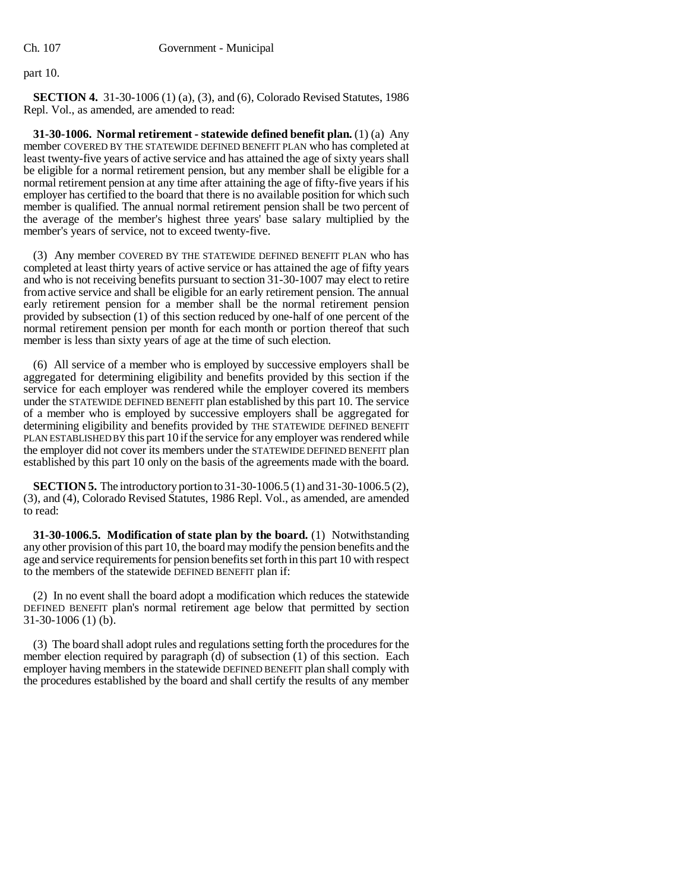part 10.

**SECTION 4.** 31-30-1006 (1) (a), (3), and (6), Colorado Revised Statutes, 1986 Repl. Vol., as amended, are amended to read:

**31-30-1006. Normal retirement - statewide defined benefit plan.** (1) (a) Any member COVERED BY THE STATEWIDE DEFINED BENEFIT PLAN who has completed at least twenty-five years of active service and has attained the age of sixty years shall be eligible for a normal retirement pension, but any member shall be eligible for a normal retirement pension at any time after attaining the age of fifty-five years if his employer has certified to the board that there is no available position for which such member is qualified. The annual normal retirement pension shall be two percent of the average of the member's highest three years' base salary multiplied by the member's years of service, not to exceed twenty-five.

(3) Any member COVERED BY THE STATEWIDE DEFINED BENEFIT PLAN who has completed at least thirty years of active service or has attained the age of fifty years and who is not receiving benefits pursuant to section 31-30-1007 may elect to retire from active service and shall be eligible for an early retirement pension. The annual early retirement pension for a member shall be the normal retirement pension provided by subsection (1) of this section reduced by one-half of one percent of the normal retirement pension per month for each month or portion thereof that such member is less than sixty years of age at the time of such election.

(6) All service of a member who is employed by successive employers shall be aggregated for determining eligibility and benefits provided by this section if the service for each employer was rendered while the employer covered its members under the STATEWIDE DEFINED BENEFIT plan established by this part 10. The service of a member who is employed by successive employers shall be aggregated for determining eligibility and benefits provided by THE STATEWIDE DEFINED BENEFIT PLAN ESTABLISHED BY this part 10 if the service for any employer was rendered while the employer did not cover its members under the STATEWIDE DEFINED BENEFIT plan established by this part 10 only on the basis of the agreements made with the board.

**SECTION 5.** The introductory portion to 31-30-1006.5 (1) and 31-30-1006.5 (2), (3), and (4), Colorado Revised Statutes, 1986 Repl. Vol., as amended, are amended to read:

**31-30-1006.5. Modification of state plan by the board.** (1) Notwithstanding any other provision of this part 10, the board may modify the pension benefits and the age and service requirements for pension benefits set forth in this part 10 with respect to the members of the statewide DEFINED BENEFIT plan if:

(2) In no event shall the board adopt a modification which reduces the statewide DEFINED BENEFIT plan's normal retirement age below that permitted by section 31-30-1006 (1) (b).

(3) The board shall adopt rules and regulations setting forth the procedures for the member election required by paragraph (d) of subsection (1) of this section. Each employer having members in the statewide DEFINED BENEFIT plan shall comply with the procedures established by the board and shall certify the results of any member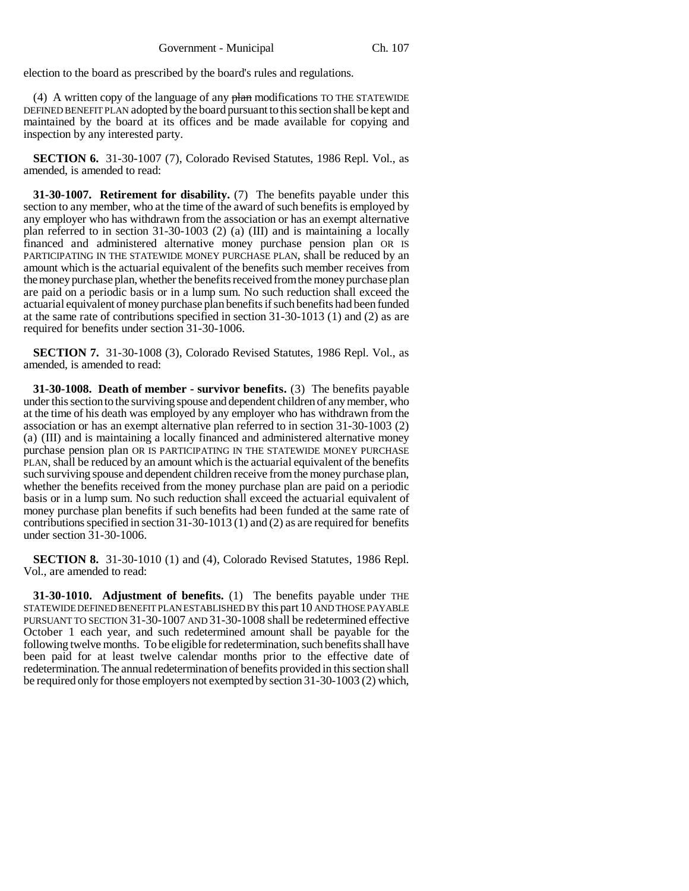election to the board as prescribed by the board's rules and regulations.

(4) A written copy of the language of any  $\frac{\partial^2 u}{\partial x^2}$  modifications TO THE STATEWIDE DEFINED BENEFIT PLAN adopted by the board pursuant to this section shall be kept and maintained by the board at its offices and be made available for copying and inspection by any interested party.

**SECTION 6.** 31-30-1007 (7), Colorado Revised Statutes, 1986 Repl. Vol., as amended, is amended to read:

**31-30-1007. Retirement for disability.** (7) The benefits payable under this section to any member, who at the time of the award of such benefits is employed by any employer who has withdrawn from the association or has an exempt alternative plan referred to in section 31-30-1003 (2) (a) (III) and is maintaining a locally financed and administered alternative money purchase pension plan OR IS PARTICIPATING IN THE STATEWIDE MONEY PURCHASE PLAN, shall be reduced by an amount which is the actuarial equivalent of the benefits such member receives from the money purchase plan, whether the benefits received from the money purchase plan are paid on a periodic basis or in a lump sum. No such reduction shall exceed the actuarial equivalent of money purchase plan benefits if such benefits had been funded at the same rate of contributions specified in section 31-30-1013 (1) and (2) as are required for benefits under section 31-30-1006.

**SECTION 7.** 31-30-1008 (3), Colorado Revised Statutes, 1986 Repl. Vol., as amended, is amended to read:

**31-30-1008. Death of member - survivor benefits.** (3) The benefits payable under this section to the surviving spouse and dependent children of any member, who at the time of his death was employed by any employer who has withdrawn from the association or has an exempt alternative plan referred to in section 31-30-1003 (2) (a) (III) and is maintaining a locally financed and administered alternative money purchase pension plan OR IS PARTICIPATING IN THE STATEWIDE MONEY PURCHASE PLAN, shall be reduced by an amount which is the actuarial equivalent of the benefits such surviving spouse and dependent children receive from the money purchase plan, whether the benefits received from the money purchase plan are paid on a periodic basis or in a lump sum. No such reduction shall exceed the actuarial equivalent of money purchase plan benefits if such benefits had been funded at the same rate of contributions specified in section 31-30-1013 (1) and (2) as are required for benefits under section 31-30-1006.

**SECTION 8.** 31-30-1010 (1) and (4), Colorado Revised Statutes, 1986 Repl. Vol., are amended to read:

**31-30-1010. Adjustment of benefits.** (1) The benefits payable under THE STATEWIDE DEFINED BENEFIT PLAN ESTABLISHED BY this part 10 AND THOSE PAYABLE PURSUANT TO SECTION 31-30-1007 AND 31-30-1008 shall be redetermined effective October 1 each year, and such redetermined amount shall be payable for the following twelve months. To be eligible for redetermination, such benefits shall have been paid for at least twelve calendar months prior to the effective date of redetermination. The annual redetermination of benefits provided in this section shall be required only for those employers not exempted by section 31-30-1003 (2) which,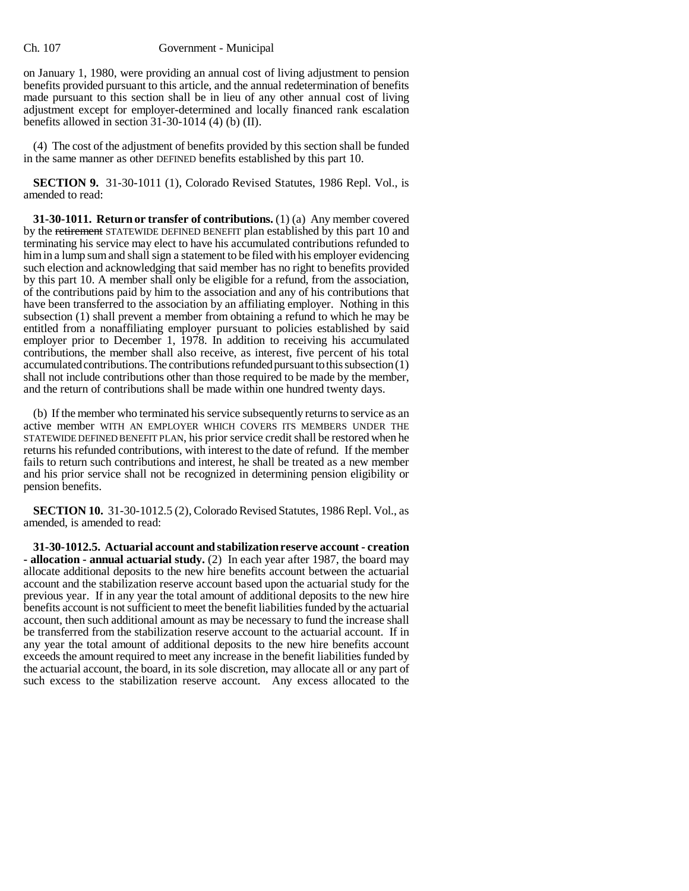on January 1, 1980, were providing an annual cost of living adjustment to pension benefits provided pursuant to this article, and the annual redetermination of benefits made pursuant to this section shall be in lieu of any other annual cost of living adjustment except for employer-determined and locally financed rank escalation benefits allowed in section  $31-30-1014$  (4) (b) (II).

(4) The cost of the adjustment of benefits provided by this section shall be funded in the same manner as other DEFINED benefits established by this part 10.

**SECTION 9.** 31-30-1011 (1), Colorado Revised Statutes, 1986 Repl. Vol., is amended to read:

**31-30-1011. Return or transfer of contributions.** (1) (a) Any member covered by the retirement STATEWIDE DEFINED BENEFIT plan established by this part 10 and terminating his service may elect to have his accumulated contributions refunded to him in a lump sum and shall sign a statement to be filed with his employer evidencing such election and acknowledging that said member has no right to benefits provided by this part 10. A member shall only be eligible for a refund, from the association, of the contributions paid by him to the association and any of his contributions that have been transferred to the association by an affiliating employer. Nothing in this subsection (1) shall prevent a member from obtaining a refund to which he may be entitled from a nonaffiliating employer pursuant to policies established by said employer prior to December 1, 1978. In addition to receiving his accumulated contributions, the member shall also receive, as interest, five percent of his total accumulated contributions. The contributions refunded pursuant to this subsection (1) shall not include contributions other than those required to be made by the member, and the return of contributions shall be made within one hundred twenty days.

(b) If the member who terminated his service subsequently returns to service as an active member WITH AN EMPLOYER WHICH COVERS ITS MEMBERS UNDER THE STATEWIDE DEFINED BENEFIT PLAN, his prior service credit shall be restored when he returns his refunded contributions, with interest to the date of refund. If the member fails to return such contributions and interest, he shall be treated as a new member and his prior service shall not be recognized in determining pension eligibility or pension benefits.

**SECTION 10.** 31-30-1012.5 (2), Colorado Revised Statutes, 1986 Repl. Vol., as amended, is amended to read:

**31-30-1012.5. Actuarial account and stabilization reserve account - creation - allocation - annual actuarial study.** (2) In each year after 1987, the board may allocate additional deposits to the new hire benefits account between the actuarial account and the stabilization reserve account based upon the actuarial study for the previous year. If in any year the total amount of additional deposits to the new hire benefits account is not sufficient to meet the benefit liabilities funded by the actuarial account, then such additional amount as may be necessary to fund the increase shall be transferred from the stabilization reserve account to the actuarial account. If in any year the total amount of additional deposits to the new hire benefits account exceeds the amount required to meet any increase in the benefit liabilities funded by the actuarial account, the board, in its sole discretion, may allocate all or any part of such excess to the stabilization reserve account. Any excess allocated to the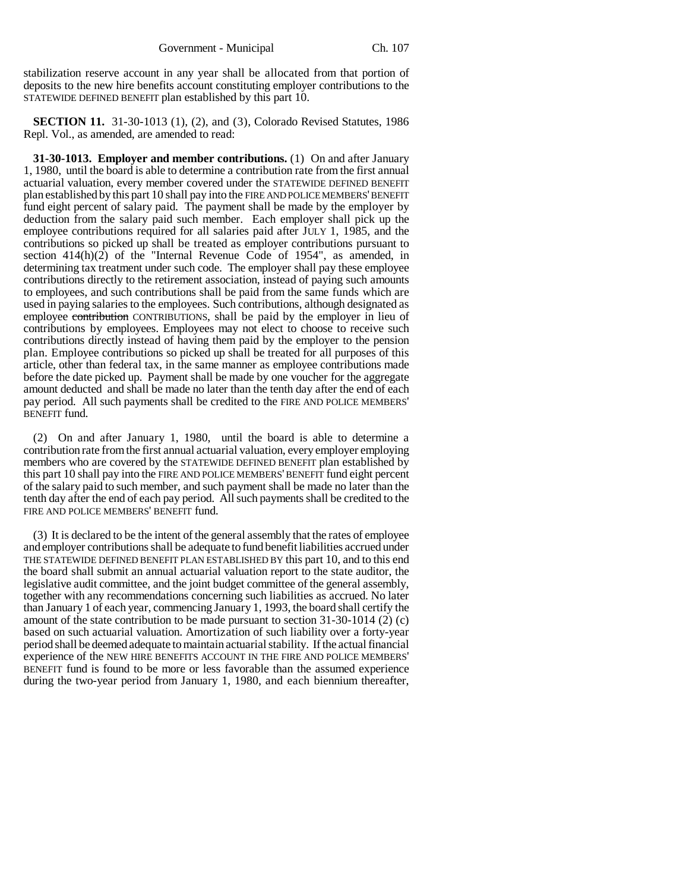stabilization reserve account in any year shall be allocated from that portion of deposits to the new hire benefits account constituting employer contributions to the STATEWIDE DEFINED BENEFIT plan established by this part 10.

**SECTION 11.** 31-30-1013 (1), (2), and (3), Colorado Revised Statutes, 1986 Repl. Vol., as amended, are amended to read:

**31-30-1013. Employer and member contributions.** (1) On and after January 1, 1980, until the board is able to determine a contribution rate from the first annual actuarial valuation, every member covered under the STATEWIDE DEFINED BENEFIT plan established by this part 10 shall pay into the FIRE AND POLICE MEMBERS' BENEFIT fund eight percent of salary paid. The payment shall be made by the employer by deduction from the salary paid such member. Each employer shall pick up the employee contributions required for all salaries paid after JULY 1, 1985, and the contributions so picked up shall be treated as employer contributions pursuant to section 414(h)(2) of the "Internal Revenue Code of 1954", as amended, in determining tax treatment under such code. The employer shall pay these employee contributions directly to the retirement association, instead of paying such amounts to employees, and such contributions shall be paid from the same funds which are used in paying salaries to the employees. Such contributions, although designated as employee contribution CONTRIBUTIONS, shall be paid by the employer in lieu of contributions by employees. Employees may not elect to choose to receive such contributions directly instead of having them paid by the employer to the pension plan. Employee contributions so picked up shall be treated for all purposes of this article, other than federal tax, in the same manner as employee contributions made before the date picked up. Payment shall be made by one voucher for the aggregate amount deducted and shall be made no later than the tenth day after the end of each pay period. All such payments shall be credited to the FIRE AND POLICE MEMBERS' BENEFIT fund.

(2) On and after January 1, 1980, until the board is able to determine a contribution rate from the first annual actuarial valuation, every employer employing members who are covered by the STATEWIDE DEFINED BENEFIT plan established by this part 10 shall pay into the FIRE AND POLICE MEMBERS' BENEFIT fund eight percent of the salary paid to such member, and such payment shall be made no later than the tenth day after the end of each pay period. All such payments shall be credited to the FIRE AND POLICE MEMBERS' BENEFIT fund.

(3) It is declared to be the intent of the general assembly that the rates of employee and employer contributions shall be adequate to fund benefit liabilities accrued under THE STATEWIDE DEFINED BENEFIT PLAN ESTABLISHED BY this part 10, and to this end the board shall submit an annual actuarial valuation report to the state auditor, the legislative audit committee, and the joint budget committee of the general assembly, together with any recommendations concerning such liabilities as accrued. No later than January 1 of each year, commencing January 1, 1993, the board shall certify the amount of the state contribution to be made pursuant to section 31-30-1014 (2) (c) based on such actuarial valuation. Amortization of such liability over a forty-year period shall be deemed adequate to maintain actuarial stability. If the actual financial experience of the NEW HIRE BENEFITS ACCOUNT IN THE FIRE AND POLICE MEMBERS' BENEFIT fund is found to be more or less favorable than the assumed experience during the two-year period from January 1, 1980, and each biennium thereafter,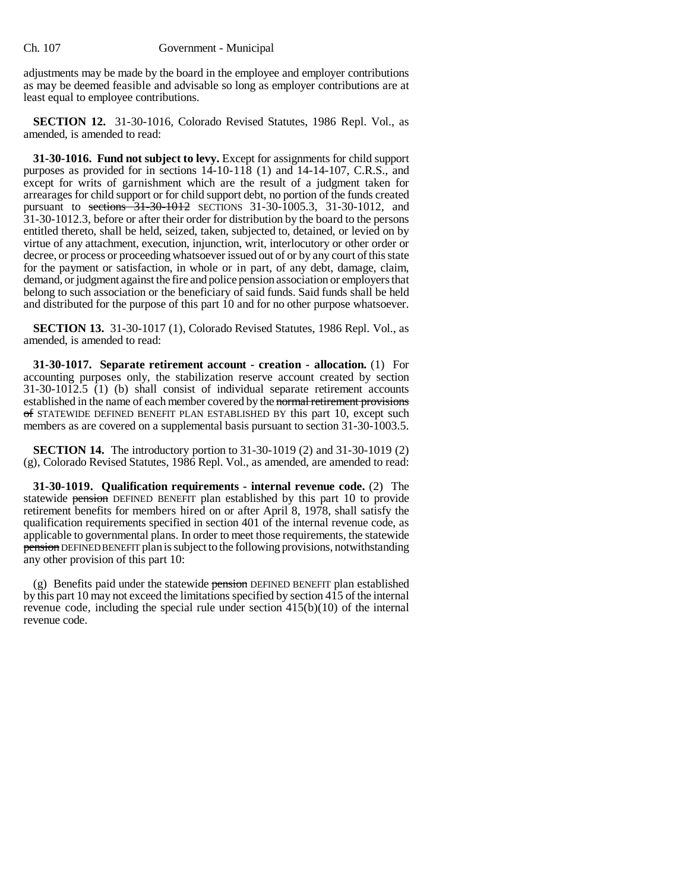adjustments may be made by the board in the employee and employer contributions as may be deemed feasible and advisable so long as employer contributions are at least equal to employee contributions.

**SECTION 12.** 31-30-1016, Colorado Revised Statutes, 1986 Repl. Vol., as amended, is amended to read:

**31-30-1016. Fund not subject to levy.** Except for assignments for child support purposes as provided for in sections 14-10-118 (1) and 14-14-107, C.R.S., and except for writs of garnishment which are the result of a judgment taken for arrearages for child support or for child support debt, no portion of the funds created pursuant to sections 31-30-1012 SECTIONS 31-30-1005.3, 31-30-1012, and 31-30-1012.3, before or after their order for distribution by the board to the persons entitled thereto, shall be held, seized, taken, subjected to, detained, or levied on by virtue of any attachment, execution, injunction, writ, interlocutory or other order or decree, or process or proceeding whatsoever issued out of or by any court of this state for the payment or satisfaction, in whole or in part, of any debt, damage, claim, demand, or judgment against the fire and police pension association or employers that belong to such association or the beneficiary of said funds. Said funds shall be held and distributed for the purpose of this part 10 and for no other purpose whatsoever.

**SECTION 13.** 31-30-1017 (1), Colorado Revised Statutes, 1986 Repl. Vol., as amended, is amended to read:

**31-30-1017. Separate retirement account - creation - allocation.** (1) For accounting purposes only, the stabilization reserve account created by section 31-30-1012.5 (1) (b) shall consist of individual separate retirement accounts established in the name of each member covered by the normal retirement provisions of STATEWIDE DEFINED BENEFIT PLAN ESTABLISHED BY this part 10, except such members as are covered on a supplemental basis pursuant to section 31-30-1003.5.

**SECTION 14.** The introductory portion to 31-30-1019 (2) and 31-30-1019 (2) (g), Colorado Revised Statutes, 1986 Repl. Vol., as amended, are amended to read:

**31-30-1019. Qualification requirements - internal revenue code.** (2) The statewide pension DEFINED BENEFIT plan established by this part 10 to provide retirement benefits for members hired on or after April 8, 1978, shall satisfy the qualification requirements specified in section 401 of the internal revenue code, as applicable to governmental plans. In order to meet those requirements, the statewide pension DEFINED BENEFIT plan is subject to the following provisions, notwithstanding any other provision of this part 10:

(g) Benefits paid under the statewide pension DEFINED BENEFIT plan established by this part 10 may not exceed the limitations specified by section 415 of the internal revenue code, including the special rule under section  $415(b)(10)$  of the internal revenue code.